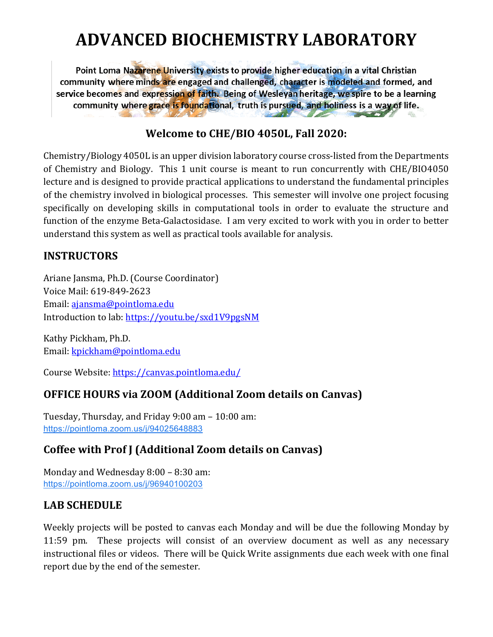# **ADVANCED BIOCHEMISTRY LABORATORY**

Point Loma Nazarene University exists to provide higher education in a vital Christian community where minds are engaged and challenged, character is modeled and formed, and service becomes and expression of faith. Being of Wesleyan heritage, we spire to be a learning community where grace is foundational, truth is pursued, and holiness is a way of life.

# **Welcome to CHE/BIO 4050L, Fall 2020:**

Chemistry/Biology 4050L is an upper division laboratory course cross-listed from the Departments of Chemistry and Biology. This 1 unit course is meant to run concurrently with CHE/BIO4050 lecture and is designed to provide practical applications to understand the fundamental principles of the chemistry involved in biological processes. This semester will involve one project focusing specifically on developing skills in computational tools in order to evaluate the structure and function of the enzyme Beta-Galactosidase. I am very excited to work with you in order to better understand this system as well as practical tools available for analysis.

# **INSTRUCTORS**

Ariane Jansma, Ph.D. (Course Coordinator) Voice Mail: 619-849-2623 Email: [ajansma@pointloma.edu](mailto:ajansma@pointloma.edu) Introduction to lab:<https://youtu.be/sxd1V9pgsNM>

Kathy Pickham, Ph.D. Email: [kpickham@pointloma.edu](mailto:kpickham@pointloma.edu)

Course Website:<https://canvas.pointloma.edu/>

# **OFFICE HOURS via ZOOM (Additional Zoom details on Canvas)**

Tuesday, Thursday, and Friday 9:00 am – 10:00 am: [https://pointloma.zoom.us/j/94025648883](https://www.google.com/url?q=https://pointloma.zoom.us/j/94025648883&sa=D&source=calendar&ust=1596900739057000&usg=AOvVaw0ebTeJIRwOzPsafhNatAzr)

# **Coffee with Prof J (Additional Zoom details on Canvas)**

Monday and Wednesday 8:00 – 8:30 am: [https://pointloma.zoom.us/j/96940100203](https://www.google.com/url?q=https://pointloma.zoom.us/j/96940100203&sa=D&source=calendar&ust=1596900728053000&usg=AOvVaw26GFcNHnMV7tZYXUoGjGT6)

# **LAB SCHEDULE**

Weekly projects will be posted to canvas each Monday and will be due the following Monday by 11:59 pm. These projects will consist of an overview document as well as any necessary instructional files or videos. There will be Quick Write assignments due each week with one final report due by the end of the semester.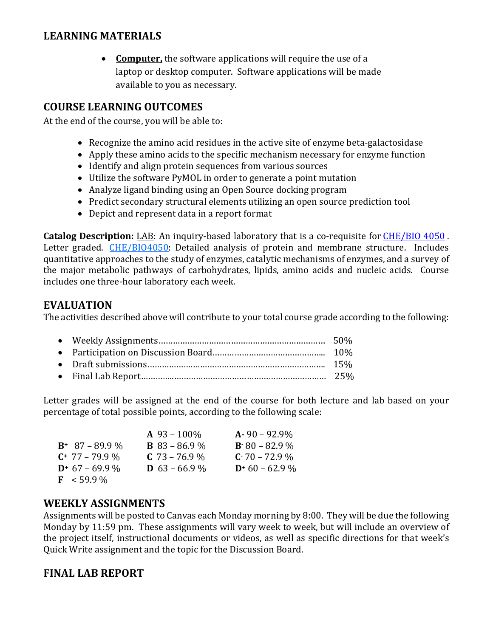### **LEARNING MATERIALS**

• **Computer,** the software applications will require the use of a laptop or desktop computer. Software applications will be made available to you as necessary.

## **COURSE LEARNING OUTCOMES**

At the end of the course, you will be able to:

- Recognize the amino acid residues in the active site of enzyme beta-galactosidase
- Apply these amino acids to the specific mechanism necessary for enzyme function
- Identify and align protein sequences from various sources
- Utilize the software PyMOL in order to generate a point mutation
- Analyze ligand binding using an Open Source docking program
- Predict secondary structural elements utilizing an open source prediction tool
- Depict and represent data in a report format

**Catalog Description:** LAB: An inquiry-based laboratory that is a co-requisite for [CHE/BIO](https://catalog.pointloma.edu/search_advanced.php?cur_cat_oid=35&search_database=Search&search_db=Search&cpage=1&ecpage=1&ppage=1&spage=1&tpage=1&location=3&filter%5Bkeyword%5D=CHE450L#tt9529) 4050 . Letter graded. CHE/BIO4050: Detailed analysis of protein and membrane structure. Includes quantitative approaches to the study of enzymes, catalytic mechanisms of enzymes, and a survey of the major metabolic pathways of carbohydrates, lipids, amino acids and nucleic acids. Course includes one three-hour laboratory each week.

#### **EVALUATION**

The activities described above will contribute to your total course grade according to the following:

Letter grades will be assigned at the end of the course for both lecture and lab based on your percentage of total possible points, according to the following scale:

| $A\,93 - 100\%$                                                                      | $A - 90 - 92.9\%$ |
|--------------------------------------------------------------------------------------|-------------------|
| <b>B</b> 83 – 86.9 %                                                                 | $B - 80 - 82.9$ % |
| $C$ 73 – 76.9 %                                                                      | $C - 70 - 72.9\%$ |
| <b>D</b> 63 – 66.9 %                                                                 | $D+60-62.9%$      |
|                                                                                      |                   |
| $B^+$ 87 – 89.9 %<br>$C^+$ 77 – 79.9 %<br>$D^+$ 67 – 69.9 %<br>$\mathbf{F}$ < 59.9 % |                   |

#### **WEEKLY ASSIGNMENTS**

Assignments will be posted to Canvas each Monday morning by 8:00. They will be due the following Monday by 11:59 pm. These assignments will vary week to week, but will include an overview of the project itself, instructional documents or videos, as well as specific directions for that week's Quick Write assignment and the topic for the Discussion Board.

#### **FINAL LAB REPORT**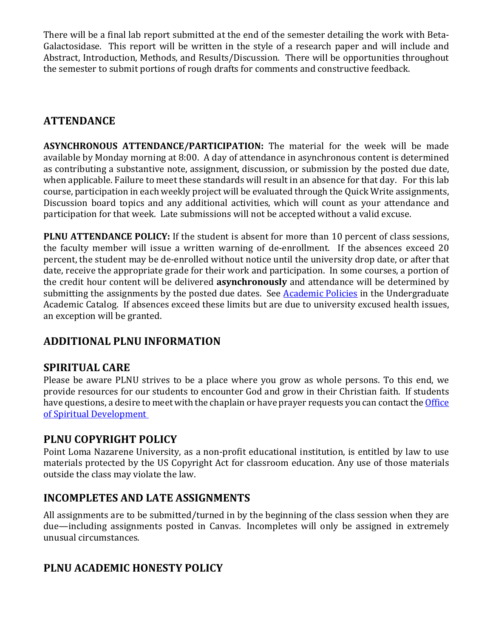There will be a final lab report submitted at the end of the semester detailing the work with Beta-Galactosidase. This report will be written in the style of a research paper and will include and Abstract, Introduction, Methods, and Results/Discussion. There will be opportunities throughout the semester to submit portions of rough drafts for comments and constructive feedback.

# **ATTENDANCE**

**ASYNCHRONOUS ATTENDANCE/PARTICIPATION:** The material for the week will be made available by Monday morning at 8:00. A day of attendance in asynchronous content is determined as contributing a substantive note, assignment, discussion, or submission by the posted due date, when applicable. Failure to meet these standards will result in an absence for that day. For this lab course, participation in each weekly project will be evaluated through the Quick Write assignments, Discussion board topics and any additional activities, which will count as your attendance and participation for that week. Late submissions will not be accepted without a valid excuse.

**PLNU ATTENDANCE POLICY:** If the student is absent for more than 10 percent of class sessions, the faculty member will issue a written warning of de-enrollment. If the absences exceed 20 percent, the student may be de-enrolled without notice until the university drop date, or after that date, receive the appropriate grade for their work and participation. In some courses, a portion of the credit hour content will be delivered **asynchronously** and attendance will be determined by submitting the assignments by the posted due dates. See [Academic Policies](https://catalog.pointloma.edu/content.php?catoid=46&navoid=2650#Class_Attendance) in the Undergraduate Academic Catalog. If absences exceed these limits but are due to university excused health issues, an exception will be granted.

# **ADDITIONAL PLNU INFORMATION**

#### **SPIRITUAL CARE**

Please be aware PLNU strives to be a place where you grow as whole persons. To this end, we provide resources for our students to encounter God and grow in their Christian faith. If students have questions, a desire to meet with the chaplain or have prayer requests you can contact the *Office* [of Spiritual Development](https://www.pointloma.edu/offices/spiritual-development)

## **PLNU COPYRIGHT POLICY**

Point Loma Nazarene University, as a non-profit educational institution, is entitled by law to use materials protected by the US Copyright Act for classroom education. Any use of those materials outside the class may violate the law.

## **INCOMPLETES AND LATE ASSIGNMENTS**

All assignments are to be submitted/turned in by the beginning of the class session when they are due—including assignments posted in Canvas. Incompletes will only be assigned in extremely unusual circumstances.

## **PLNU ACADEMIC HONESTY POLICY**